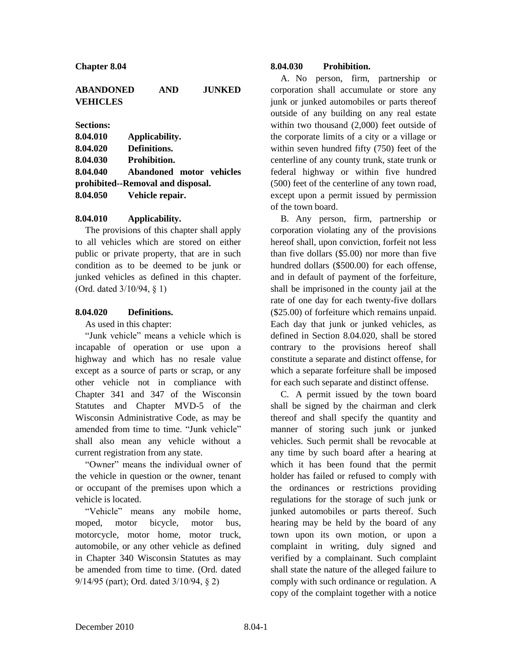## **ABANDONED AND JUNKED VEHICLES**

**Sections:**

| 8.04.010 | Applicability.                    |
|----------|-----------------------------------|
| 8.04.020 | Definitions.                      |
| 8.04.030 | <b>Prohibition.</b>               |
| 8.04.040 | Abandoned motor vehicles          |
|          | prohibited--Removal and disposal. |
|          | 8.04.050 Vehicle repair.          |

## **8.04.010 Applicability.**

The provisions of this chapter shall apply to all vehicles which are stored on either public or private property, that are in such condition as to be deemed to be junk or junked vehicles as defined in this chapter. (Ord. dated 3/10/94, § 1)

## **8.04.020 Definitions.**

As used in this chapter:

"Junk vehicle" means a vehicle which is incapable of operation or use upon a highway and which has no resale value except as a source of parts or scrap, or any other vehicle not in compliance with Chapter 341 and 347 of the Wisconsin Statutes and Chapter MVD-5 of the Wisconsin Administrative Code, as may be amended from time to time. "Junk vehicle" shall also mean any vehicle without a current registration from any state.

"Owner" means the individual owner of the vehicle in question or the owner, tenant or occupant of the premises upon which a vehicle is located.

"Vehicle" means any mobile home, moped, motor bicycle, motor bus, motorcycle, motor home, motor truck, automobile, or any other vehicle as defined in Chapter 340 Wisconsin Statutes as may be amended from time to time. (Ord. dated 9/14/95 (part); Ord. dated 3/10/94, § 2)

## **8.04.030 Prohibition.**

A. No person, firm, partnership or corporation shall accumulate or store any junk or junked automobiles or parts thereof outside of any building on any real estate within two thousand (2,000) feet outside of the corporate limits of a city or a village or within seven hundred fifty (750) feet of the centerline of any county trunk, state trunk or federal highway or within five hundred (500) feet of the centerline of any town road, except upon a permit issued by permission of the town board.

B. Any person, firm, partnership or corporation violating any of the provisions hereof shall, upon conviction, forfeit not less than five dollars (\$5.00) nor more than five hundred dollars (\$500.00) for each offense, and in default of payment of the forfeiture, shall be imprisoned in the county jail at the rate of one day for each twenty-five dollars (\$25.00) of forfeiture which remains unpaid. Each day that junk or junked vehicles, as defined in Section 8.04.020, shall be stored contrary to the provisions hereof shall constitute a separate and distinct offense, for which a separate forfeiture shall be imposed for each such separate and distinct offense.

C. A permit issued by the town board shall be signed by the chairman and clerk thereof and shall specify the quantity and manner of storing such junk or junked vehicles. Such permit shall be revocable at any time by such board after a hearing at which it has been found that the permit holder has failed or refused to comply with the ordinances or restrictions providing regulations for the storage of such junk or junked automobiles or parts thereof. Such hearing may be held by the board of any town upon its own motion, or upon a complaint in writing, duly signed and verified by a complainant. Such complaint shall state the nature of the alleged failure to comply with such ordinance or regulation. A copy of the complaint together with a notice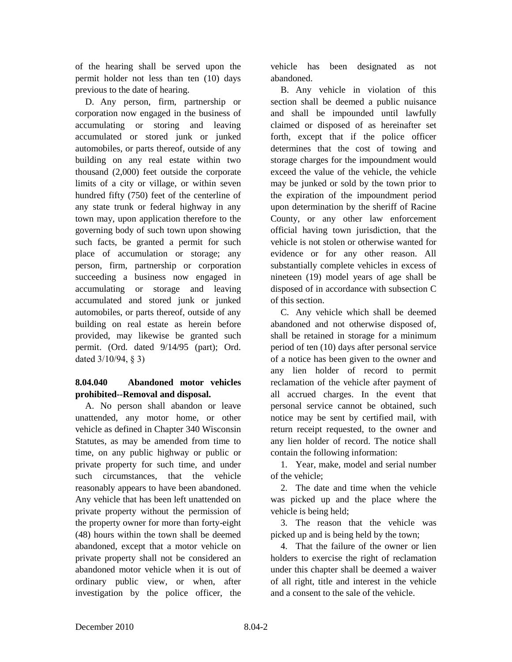of the hearing shall be served upon the permit holder not less than ten (10) days previous to the date of hearing.

D. Any person, firm, partnership or corporation now engaged in the business of accumulating or storing and leaving accumulated or stored junk or junked automobiles, or parts thereof, outside of any building on any real estate within two thousand (2,000) feet outside the corporate limits of a city or village, or within seven hundred fifty (750) feet of the centerline of any state trunk or federal highway in any town may, upon application therefore to the governing body of such town upon showing such facts, be granted a permit for such place of accumulation or storage; any person, firm, partnership or corporation succeeding a business now engaged in accumulating or storage and leaving accumulated and stored junk or junked automobiles, or parts thereof, outside of any building on real estate as herein before provided, may likewise be granted such permit. (Ord. dated 9/14/95 (part); Ord. dated 3/10/94, § 3)

# **8.04.040 Abandoned motor vehicles prohibited--Removal and disposal.**

A. No person shall abandon or leave unattended, any motor home, or other vehicle as defined in Chapter 340 Wisconsin Statutes, as may be amended from time to time, on any public highway or public or private property for such time, and under such circumstances, that the vehicle reasonably appears to have been abandoned. Any vehicle that has been left unattended on private property without the permission of the property owner for more than forty-eight (48) hours within the town shall be deemed abandoned, except that a motor vehicle on private property shall not be considered an abandoned motor vehicle when it is out of ordinary public view, or when, after investigation by the police officer, the

vehicle has been designated as not abandoned.

B. Any vehicle in violation of this section shall be deemed a public nuisance and shall be impounded until lawfully claimed or disposed of as hereinafter set forth, except that if the police officer determines that the cost of towing and storage charges for the impoundment would exceed the value of the vehicle, the vehicle may be junked or sold by the town prior to the expiration of the impoundment period upon determination by the sheriff of Racine County, or any other law enforcement official having town jurisdiction, that the vehicle is not stolen or otherwise wanted for evidence or for any other reason. All substantially complete vehicles in excess of nineteen (19) model years of age shall be disposed of in accordance with subsection C of this section.

C. Any vehicle which shall be deemed abandoned and not otherwise disposed of, shall be retained in storage for a minimum period of ten (10) days after personal service of a notice has been given to the owner and any lien holder of record to permit reclamation of the vehicle after payment of all accrued charges. In the event that personal service cannot be obtained, such notice may be sent by certified mail, with return receipt requested, to the owner and any lien holder of record. The notice shall contain the following information:

1. Year, make, model and serial number of the vehicle;

2. The date and time when the vehicle was picked up and the place where the vehicle is being held;

3. The reason that the vehicle was picked up and is being held by the town;

4. That the failure of the owner or lien holders to exercise the right of reclamation under this chapter shall be deemed a waiver of all right, title and interest in the vehicle and a consent to the sale of the vehicle.